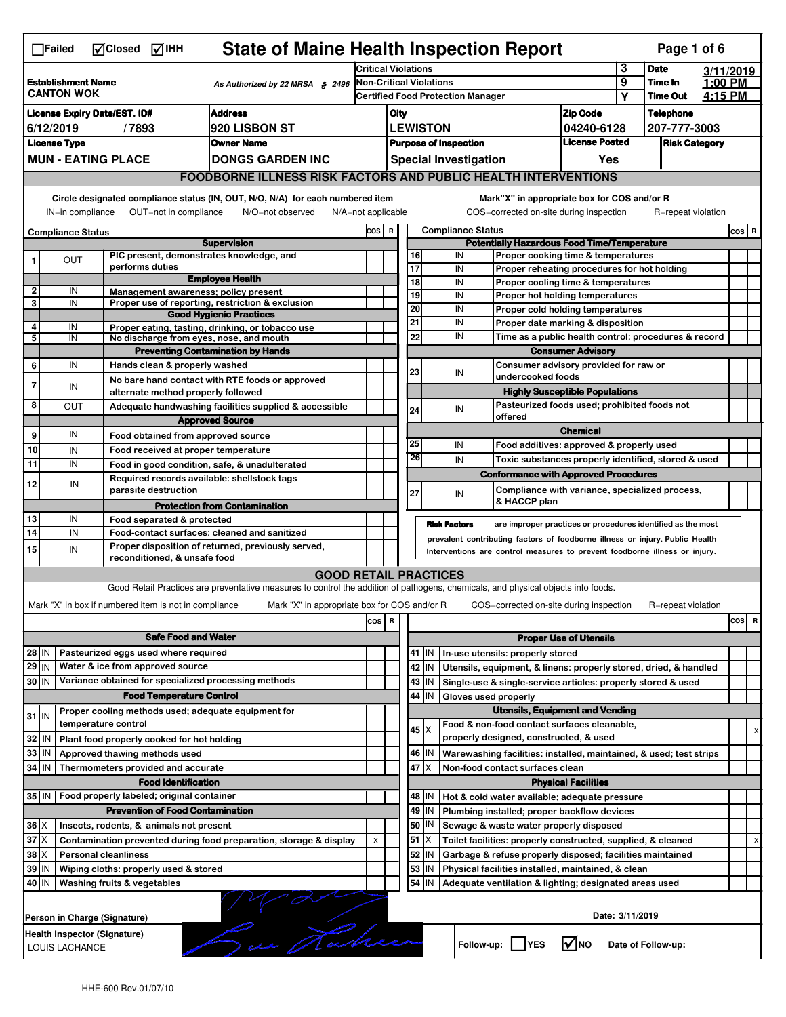|                                                                                   | <b>State of Maine Health Inspection Report</b><br>Page 1 of 6<br>MClosed MIHH<br>$\Box$ Failed |                                                                     |                                                                                                                                   |                                                                                                                                    |                                                                               |                                        |                          |                      |                                                                                        |                                       |                    |                    |           |          |
|-----------------------------------------------------------------------------------|------------------------------------------------------------------------------------------------|---------------------------------------------------------------------|-----------------------------------------------------------------------------------------------------------------------------------|------------------------------------------------------------------------------------------------------------------------------------|-------------------------------------------------------------------------------|----------------------------------------|--------------------------|----------------------|----------------------------------------------------------------------------------------|---------------------------------------|--------------------|--------------------|-----------|----------|
|                                                                                   |                                                                                                |                                                                     |                                                                                                                                   | <b>Critical Violations</b>                                                                                                         |                                                                               |                                        |                          |                      |                                                                                        |                                       | 3                  | <b>Date</b>        | 3/11/2019 |          |
|                                                                                   | <b>Establishment Name</b><br><b>CANTON WOK</b>                                                 |                                                                     | As Authorized by 22 MRSA § 2496                                                                                                   | Non-Critical Violations<br><b>Certified Food Protection Manager</b>                                                                |                                                                               |                                        |                          |                      | 9                                                                                      | Time In<br><b>Time Out</b>            | 1:00 PM<br>4:15 PM |                    |           |          |
|                                                                                   |                                                                                                |                                                                     | <b>Address</b>                                                                                                                    |                                                                                                                                    |                                                                               |                                        |                          |                      |                                                                                        | Υ                                     |                    |                    |           |          |
| <b>License Expiry Date/EST. ID#</b><br><b>920 LISBON ST</b><br>6/12/2019<br>/7893 |                                                                                                |                                                                     |                                                                                                                                   |                                                                                                                                    | <b>Zip Code</b><br>City<br><b>LEWISTON</b>                                    |                                        |                          |                      |                                                                                        | 04240-6128                            |                    | <b>Telephone</b>   |           |          |
| <b>License Type</b><br><b>Owner Name</b>                                          |                                                                                                |                                                                     |                                                                                                                                   |                                                                                                                                    | <b>License Posted</b><br><b>Purpose of Inspection</b><br><b>Risk Category</b> |                                        |                          |                      |                                                                                        |                                       | 207-777-3003       |                    |           |          |
|                                                                                   | <b>MUN - EATING PLACE</b><br><b>DONGS GARDEN INC</b>                                           |                                                                     |                                                                                                                                   |                                                                                                                                    | <b>Special Investigation</b><br>Yes                                           |                                        |                          |                      |                                                                                        |                                       |                    |                    |           |          |
|                                                                                   | <b>FOODBORNE ILLNESS RISK FACTORS AND PUBLIC HEALTH INTERVENTIONS</b>                          |                                                                     |                                                                                                                                   |                                                                                                                                    |                                                                               |                                        |                          |                      |                                                                                        |                                       |                    |                    |           |          |
|                                                                                   |                                                                                                |                                                                     |                                                                                                                                   |                                                                                                                                    |                                                                               |                                        |                          |                      |                                                                                        |                                       |                    |                    |           |          |
|                                                                                   | IN=in compliance                                                                               | OUT=not in compliance                                               | Circle designated compliance status (IN, OUT, N/O, N/A) for each numbered item<br>N/A=not applicable<br>N/O=not observed          |                                                                                                                                    |                                                                               |                                        |                          |                      | Mark"X" in appropriate box for COS and/or R<br>COS=corrected on-site during inspection |                                       |                    | R=repeat violation |           |          |
|                                                                                   | <b>Compliance Status</b>                                                                       |                                                                     | COS R                                                                                                                             |                                                                                                                                    |                                                                               |                                        | <b>Compliance Status</b> |                      |                                                                                        |                                       |                    |                    | $cos$ R   |          |
| <b>Supervision</b>                                                                |                                                                                                |                                                                     |                                                                                                                                   |                                                                                                                                    |                                                                               |                                        |                          |                      | <b>Potentially Hazardous Food Time/Temperature</b>                                     |                                       |                    |                    |           |          |
|                                                                                   | OUT                                                                                            | PIC present, demonstrates knowledge, and                            |                                                                                                                                   |                                                                                                                                    |                                                                               | 16                                     |                          | IN                   | Proper cooking time & temperatures                                                     |                                       |                    |                    |           |          |
|                                                                                   |                                                                                                | performs duties                                                     | <b>Employee Health</b>                                                                                                            |                                                                                                                                    |                                                                               | $\overline{17}$<br>18                  |                          | IN<br>IN             | Proper reheating procedures for hot holding                                            |                                       |                    |                    |           |          |
| 2                                                                                 | IN                                                                                             | Management awareness: policy present                                |                                                                                                                                   |                                                                                                                                    |                                                                               | 19                                     |                          | IN                   | Proper cooling time & temperatures<br>Proper hot holding temperatures                  |                                       |                    |                    |           |          |
| 3                                                                                 | IN                                                                                             |                                                                     | Proper use of reporting, restriction & exclusion                                                                                  |                                                                                                                                    |                                                                               | $\overline{20}$                        |                          | IN                   | Proper cold holding temperatures                                                       |                                       |                    |                    |           |          |
|                                                                                   |                                                                                                |                                                                     | <b>Good Hygienic Practices</b>                                                                                                    |                                                                                                                                    |                                                                               | 21                                     |                          | IN                   | Proper date marking & disposition                                                      |                                       |                    |                    |           |          |
| 4<br>5                                                                            | IN<br>IN                                                                                       | No discharge from eyes, nose, and mouth                             | Proper eating, tasting, drinking, or tobacco use                                                                                  |                                                                                                                                    |                                                                               | 22                                     |                          | IN                   | Time as a public health control: procedures & record                                   |                                       |                    |                    |           |          |
|                                                                                   |                                                                                                |                                                                     | <b>Preventing Contamination by Hands</b>                                                                                          |                                                                                                                                    |                                                                               |                                        |                          |                      |                                                                                        | <b>Consumer Advisory</b>              |                    |                    |           |          |
| 6                                                                                 | IN                                                                                             | Hands clean & properly washed                                       |                                                                                                                                   |                                                                                                                                    |                                                                               |                                        |                          |                      | Consumer advisory provided for raw or                                                  |                                       |                    |                    |           |          |
| 7                                                                                 |                                                                                                |                                                                     | No bare hand contact with RTE foods or approved                                                                                   |                                                                                                                                    |                                                                               | 23                                     |                          | IN                   | undercooked foods                                                                      |                                       |                    |                    |           |          |
|                                                                                   | IN                                                                                             | alternate method properly followed                                  |                                                                                                                                   |                                                                                                                                    |                                                                               |                                        |                          |                      |                                                                                        | <b>Highly Susceptible Populations</b> |                    |                    |           |          |
| 8                                                                                 | <b>OUT</b>                                                                                     |                                                                     | Adequate handwashing facilities supplied & accessible                                                                             |                                                                                                                                    |                                                                               | 24                                     |                          | IN                   | Pasteurized foods used; prohibited foods not<br>offered                                |                                       |                    |                    |           |          |
|                                                                                   |                                                                                                |                                                                     | <b>Approved Source</b>                                                                                                            |                                                                                                                                    |                                                                               |                                        |                          |                      |                                                                                        | <b>Chemical</b>                       |                    |                    |           |          |
| 9                                                                                 | IN                                                                                             | Food obtained from approved source                                  |                                                                                                                                   |                                                                                                                                    |                                                                               | 25                                     |                          | IN                   | Food additives: approved & properly used                                               |                                       |                    |                    |           |          |
| 10                                                                                | IN                                                                                             | Food received at proper temperature                                 |                                                                                                                                   |                                                                                                                                    |                                                                               | 26                                     |                          | IN                   | Toxic substances properly identified, stored & used                                    |                                       |                    |                    |           |          |
| 11                                                                                | IN                                                                                             |                                                                     | Food in good condition, safe, & unadulterated                                                                                     |                                                                                                                                    |                                                                               |                                        |                          |                      | <b>Conformance with Approved Procedures</b>                                            |                                       |                    |                    |           |          |
| 12                                                                                | IN                                                                                             | Required records available: shellstock tags<br>parasite destruction |                                                                                                                                   |                                                                                                                                    |                                                                               | 27                                     |                          | IN                   | Compliance with variance, specialized process,                                         |                                       |                    |                    |           |          |
|                                                                                   |                                                                                                |                                                                     | <b>Protection from Contamination</b>                                                                                              |                                                                                                                                    |                                                                               |                                        |                          |                      | & HACCP plan                                                                           |                                       |                    |                    |           |          |
| 13                                                                                | IN                                                                                             | Food separated & protected                                          |                                                                                                                                   |                                                                                                                                    |                                                                               |                                        |                          |                      |                                                                                        |                                       |                    |                    |           |          |
| 14                                                                                | IN                                                                                             |                                                                     |                                                                                                                                   | <b>Risk Factors</b><br>are improper practices or procedures identified as the most<br>Food-contact surfaces: cleaned and sanitized |                                                                               |                                        |                          |                      |                                                                                        |                                       |                    |                    |           |          |
| Proper disposition of returned, previously served,                                |                                                                                                |                                                                     |                                                                                                                                   |                                                                                                                                    |                                                                               |                                        |                          |                      |                                                                                        |                                       |                    |                    |           |          |
| 15                                                                                | IN                                                                                             |                                                                     |                                                                                                                                   |                                                                                                                                    |                                                                               |                                        |                          |                      | prevalent contributing factors of foodborne illness or injury. Public Health           |                                       |                    |                    |           |          |
|                                                                                   |                                                                                                | reconditioned, & unsafe food                                        |                                                                                                                                   |                                                                                                                                    |                                                                               |                                        |                          |                      | Interventions are control measures to prevent foodborne illness or injury.             |                                       |                    |                    |           |          |
|                                                                                   |                                                                                                |                                                                     | <b>GOOD RETAIL PRACTICES</b>                                                                                                      |                                                                                                                                    |                                                                               |                                        |                          |                      |                                                                                        |                                       |                    |                    |           |          |
|                                                                                   |                                                                                                |                                                                     | Good Retail Practices are preventative measures to control the addition of pathogens, chemicals, and physical objects into foods. |                                                                                                                                    |                                                                               |                                        |                          |                      |                                                                                        |                                       |                    |                    |           |          |
|                                                                                   |                                                                                                | Mark "X" in box if numbered item is not in compliance               | Mark "X" in appropriate box for COS and/or R                                                                                      |                                                                                                                                    |                                                                               |                                        |                          |                      | COS=corrected on-site during inspection                                                |                                       |                    | R=repeat violation |           |          |
|                                                                                   |                                                                                                |                                                                     |                                                                                                                                   | cos                                                                                                                                | R                                                                             |                                        |                          |                      |                                                                                        |                                       |                    |                    |           | cos<br>R |
|                                                                                   |                                                                                                | <b>Safe Food and Water</b>                                          |                                                                                                                                   |                                                                                                                                    |                                                                               |                                        |                          |                      |                                                                                        | <b>Proper Use of Utensils</b>         |                    |                    |           |          |
| 28 IN                                                                             |                                                                                                | Pasteurized eggs used where required                                |                                                                                                                                   |                                                                                                                                    |                                                                               |                                        | $41$ IN                  |                      | In-use utensils: properly stored                                                       |                                       |                    |                    |           |          |
| 29 IN                                                                             |                                                                                                | Water & ice from approved source                                    |                                                                                                                                   |                                                                                                                                    |                                                                               |                                        | 42 IN                    |                      | Utensils, equipment, & linens: properly stored, dried, & handled                       |                                       |                    |                    |           |          |
| 30 IN                                                                             |                                                                                                | Variance obtained for specialized processing methods                |                                                                                                                                   |                                                                                                                                    |                                                                               |                                        | 43   IN                  |                      | Single-use & single-service articles: properly stored & used                           |                                       |                    |                    |           |          |
|                                                                                   |                                                                                                | <b>Food Temperature Control</b>                                     |                                                                                                                                   |                                                                                                                                    |                                                                               | 44                                     | IN                       | Gloves used properly |                                                                                        |                                       |                    |                    |           |          |
| $31$ M                                                                            |                                                                                                | Proper cooling methods used; adequate equipment for                 |                                                                                                                                   |                                                                                                                                    |                                                                               |                                        |                          |                      | <b>Utensils, Equipment and Vending</b>                                                 |                                       |                    |                    |           |          |
|                                                                                   |                                                                                                | temperature control                                                 |                                                                                                                                   |                                                                                                                                    |                                                                               | $45 \times$                            |                          |                      | Food & non-food contact surfaces cleanable,                                            |                                       |                    |                    |           |          |
| 32                                                                                | IN                                                                                             | Plant food properly cooked for hot holding                          |                                                                                                                                   |                                                                                                                                    |                                                                               |                                        |                          |                      | properly designed, constructed, & used                                                 |                                       |                    |                    |           |          |
| 33                                                                                | IN                                                                                             | Approved thawing methods used                                       |                                                                                                                                   |                                                                                                                                    |                                                                               | 46   IN                                |                          |                      | Warewashing facilities: installed, maintained, & used; test strips                     |                                       |                    |                    |           |          |
| 34 IN                                                                             |                                                                                                | Thermometers provided and accurate                                  |                                                                                                                                   |                                                                                                                                    |                                                                               | 47                                     | ΙX                       |                      | Non-food contact surfaces clean                                                        |                                       |                    |                    |           |          |
|                                                                                   |                                                                                                | <b>Food Identification</b>                                          |                                                                                                                                   |                                                                                                                                    |                                                                               |                                        |                          |                      |                                                                                        | <b>Physical Facilities</b>            |                    |                    |           |          |
|                                                                                   |                                                                                                | 35 IN   Food properly labeled; original container                   |                                                                                                                                   |                                                                                                                                    |                                                                               | 48   IN                                |                          |                      | Hot & cold water available; adequate pressure                                          |                                       |                    |                    |           |          |
|                                                                                   |                                                                                                | <b>Prevention of Food Contamination</b>                             |                                                                                                                                   |                                                                                                                                    |                                                                               | 49 IN                                  |                          |                      | Plumbing installed; proper backflow devices                                            |                                       |                    |                    |           |          |
| $36 \times$                                                                       |                                                                                                | Insects, rodents, & animals not present                             |                                                                                                                                   |                                                                                                                                    |                                                                               | 50   IN                                |                          |                      | Sewage & waste water properly disposed                                                 |                                       |                    |                    |           |          |
| $37$ $\times$                                                                     |                                                                                                |                                                                     | Contamination prevented during food preparation, storage & display                                                                | X                                                                                                                                  |                                                                               | $51$ $\overline{\phantom{1}}$ $\times$ |                          |                      | Toilet facilities: properly constructed, supplied, & cleaned                           |                                       |                    |                    |           | X        |
| 38                                                                                |                                                                                                | <b>Personal cleanliness</b>                                         |                                                                                                                                   |                                                                                                                                    |                                                                               | 52                                     | ΙM                       |                      | Garbage & refuse properly disposed; facilities maintained                              |                                       |                    |                    |           |          |
| 39 IN<br>40 IN                                                                    |                                                                                                | Wiping cloths: properly used & stored                               |                                                                                                                                   |                                                                                                                                    |                                                                               | 53<br>54 IN                            | IN                       |                      | Physical facilities installed, maintained, & clean                                     |                                       |                    |                    |           |          |
|                                                                                   |                                                                                                | Washing fruits & vegetables                                         |                                                                                                                                   |                                                                                                                                    |                                                                               |                                        |                          |                      | Adequate ventilation & lighting; designated areas used                                 |                                       |                    |                    |           |          |
|                                                                                   |                                                                                                |                                                                     |                                                                                                                                   |                                                                                                                                    |                                                                               |                                        |                          |                      |                                                                                        |                                       |                    |                    |           |          |
|                                                                                   |                                                                                                | Person in Charge (Signature)                                        |                                                                                                                                   |                                                                                                                                    |                                                                               |                                        |                          |                      |                                                                                        | Date: 3/11/2019                       |                    |                    |           |          |
|                                                                                   | Health Inspector (Signature)<br>LOUIS LACHANCE                                                 |                                                                     | Lui Kahu                                                                                                                          |                                                                                                                                    |                                                                               |                                        |                          | Follow-up:           | <b>IYES</b>                                                                            | l√lno                                 |                    | Date of Follow-up: |           |          |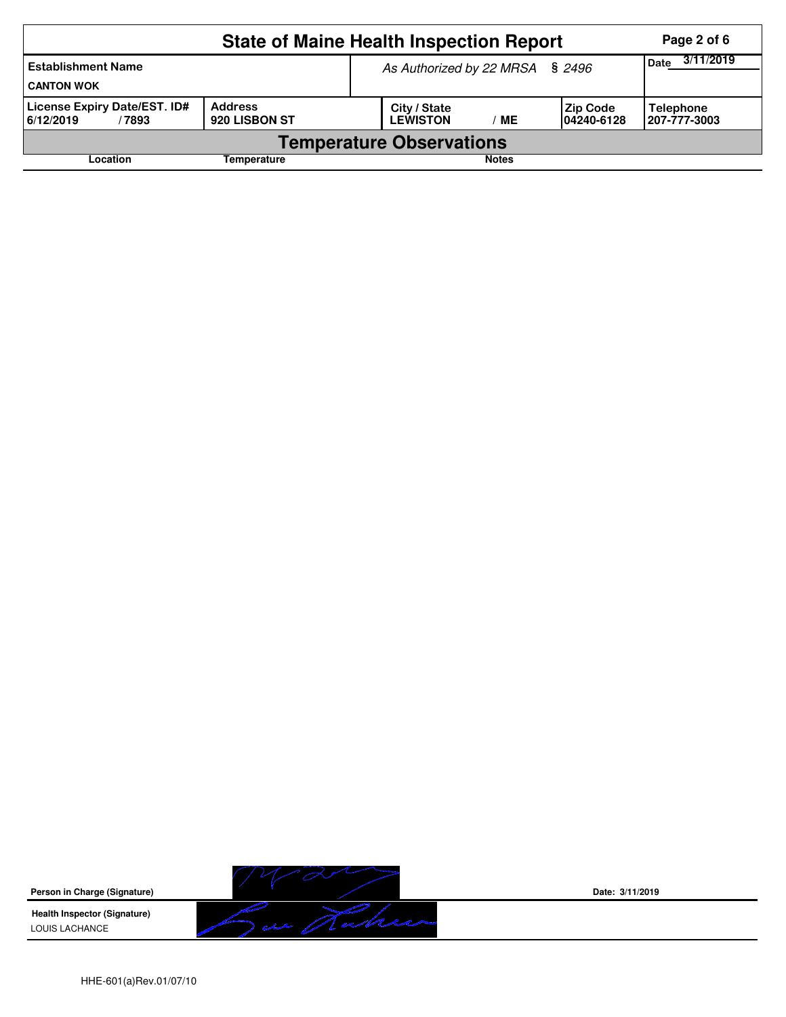|                                                    | Page 2 of 6                     |                                                                   |                                   |  |  |  |  |  |
|----------------------------------------------------|---------------------------------|-------------------------------------------------------------------|-----------------------------------|--|--|--|--|--|
| <b>Establishment Name</b><br><b>CANTON WOK</b>     |                                 | As Authorized by 22 MRSA § 2496                                   | 3/11/2019<br><b>Date</b>          |  |  |  |  |  |
| License Expiry Date/EST. ID#<br>6/12/2019<br>/7893 | <b>Address</b><br>920 LISBON ST | City / State<br> Zip Code<br><b>LEWISTON</b><br>MЕ<br>104240-6128 | <b>Telephone</b><br>1207-777-3003 |  |  |  |  |  |
| <b>Temperature Observations</b>                    |                                 |                                                                   |                                   |  |  |  |  |  |
| Location                                           |                                 |                                                                   |                                   |  |  |  |  |  |

**Person in Charge (Signature)**

**Health Inspector (Signature)**  LOUIS LACHANCE



**Date: 3/11/2019**

HHE-601(a)Rev.01/07/10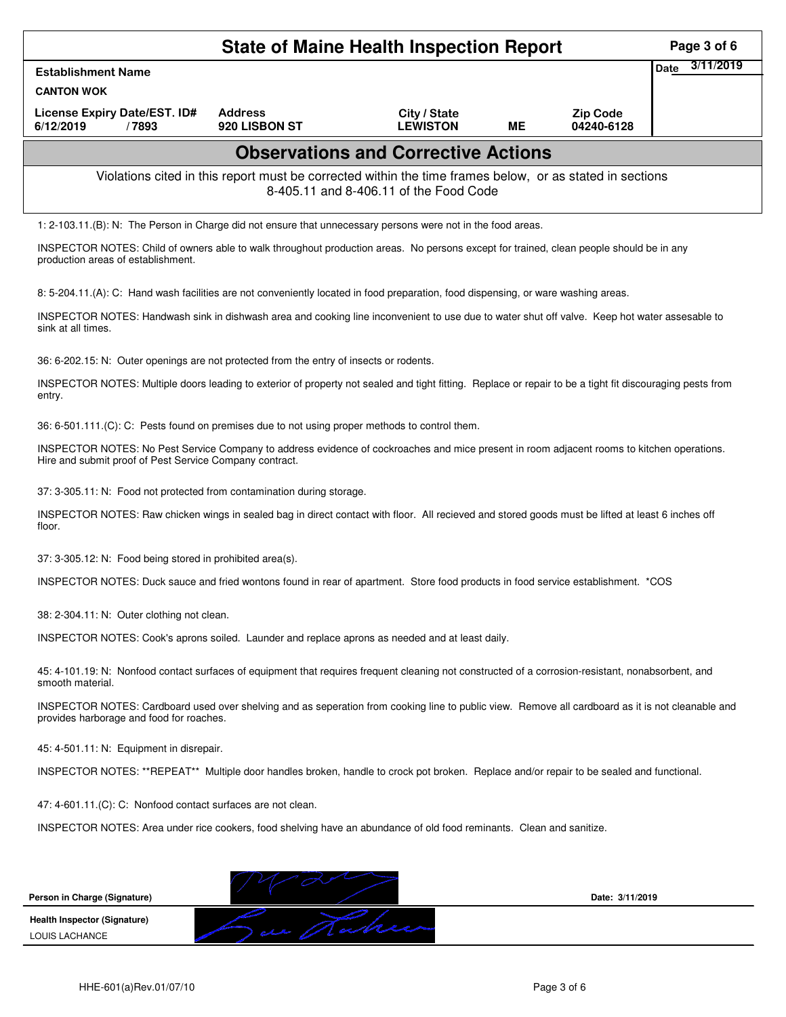|                                                                                                                                                                                                       |                                                                                                          | <b>State of Maine Health Inspection Report</b> |           |                               | Page 3 of 6       |
|-------------------------------------------------------------------------------------------------------------------------------------------------------------------------------------------------------|----------------------------------------------------------------------------------------------------------|------------------------------------------------|-----------|-------------------------------|-------------------|
| <b>Establishment Name</b>                                                                                                                                                                             |                                                                                                          |                                                |           |                               | 3/11/2019<br>Date |
| <b>CANTON WOK</b>                                                                                                                                                                                     |                                                                                                          |                                                |           |                               |                   |
| License Expiry Date/EST. ID#<br>6/12/2019<br>/7893                                                                                                                                                    | <b>Address</b><br>920 LISBON ST                                                                          | City / State<br><b>LEWISTON</b>                | <b>ME</b> | <b>Zip Code</b><br>04240-6128 |                   |
|                                                                                                                                                                                                       |                                                                                                          | <b>Observations and Corrective Actions</b>     |           |                               |                   |
|                                                                                                                                                                                                       | Violations cited in this report must be corrected within the time frames below, or as stated in sections | 8-405.11 and 8-406.11 of the Food Code         |           |                               |                   |
| 1: 2-103.11.(B): N: The Person in Charge did not ensure that unnecessary persons were not in the food areas.                                                                                          |                                                                                                          |                                                |           |                               |                   |
| INSPECTOR NOTES: Child of owners able to walk throughout production areas. No persons except for trained, clean people should be in any<br>production areas of establishment.                         |                                                                                                          |                                                |           |                               |                   |
| 8: 5-204.11.(A): C: Hand wash facilities are not conveniently located in food preparation, food dispensing, or ware washing areas.                                                                    |                                                                                                          |                                                |           |                               |                   |
| INSPECTOR NOTES: Handwash sink in dishwash area and cooking line inconvenient to use due to water shut off valve. Keep hot water assesable to<br>sink at all times.                                   |                                                                                                          |                                                |           |                               |                   |
| 36: 6-202.15: N: Outer openings are not protected from the entry of insects or rodents.                                                                                                               |                                                                                                          |                                                |           |                               |                   |
| INSPECTOR NOTES: Multiple doors leading to exterior of property not sealed and tight fitting. Replace or repair to be a tight fit discouraging pests from<br>entry.                                   |                                                                                                          |                                                |           |                               |                   |
| 36: 6-501.111.(C): C: Pests found on premises due to not using proper methods to control them.                                                                                                        |                                                                                                          |                                                |           |                               |                   |
| INSPECTOR NOTES: No Pest Service Company to address evidence of cockroaches and mice present in room adjacent rooms to kitchen operations.<br>Hire and submit proof of Pest Service Company contract. |                                                                                                          |                                                |           |                               |                   |
| 37: 3-305.11: N: Food not protected from contamination during storage.                                                                                                                                |                                                                                                          |                                                |           |                               |                   |
| INSPECTOR NOTES: Raw chicken wings in sealed bag in direct contact with floor. All recieved and stored goods must be lifted at least 6 inches off<br>floor.                                           |                                                                                                          |                                                |           |                               |                   |
| 37: 3-305.12: N: Food being stored in prohibited area(s).                                                                                                                                             |                                                                                                          |                                                |           |                               |                   |
| INSPECTOR NOTES: Duck sauce and fried wontons found in rear of apartment. Store food products in food service establishment. *COS                                                                     |                                                                                                          |                                                |           |                               |                   |
| 38: 2-304.11: N: Outer clothing not clean.                                                                                                                                                            |                                                                                                          |                                                |           |                               |                   |
| INSPECTOR NOTES: Cook's aprons soiled. Launder and replace aprons as needed and at least daily.                                                                                                       |                                                                                                          |                                                |           |                               |                   |
| 45: 4-101.19: N: Nonfood contact surfaces of equipment that requires frequent cleaning not constructed of a corrosion-resistant, nonabsorbent, and<br>smooth material.                                |                                                                                                          |                                                |           |                               |                   |
| INSPECTOR NOTES: Cardboard used over shelving and as seperation from cooking line to public view. Remove all cardboard as it is not cleanable and<br>provides harborage and food for roaches.         |                                                                                                          |                                                |           |                               |                   |
| 45: 4-501.11: N: Equipment in disrepair.                                                                                                                                                              |                                                                                                          |                                                |           |                               |                   |
| INSPECTOR NOTES: **REPEAT** Multiple door handles broken, handle to crock pot broken. Replace and/or repair to be sealed and functional.                                                              |                                                                                                          |                                                |           |                               |                   |
| 47: 4-601.11.(C): C: Nonfood contact surfaces are not clean.                                                                                                                                          |                                                                                                          |                                                |           |                               |                   |
| INSPECTOR NOTES: Area under rice cookers, food shelving have an abundance of old food reminants. Clean and sanitize.                                                                                  |                                                                                                          |                                                |           |                               |                   |
|                                                                                                                                                                                                       |                                                                                                          |                                                |           |                               |                   |
| Person in Charge (Signature)                                                                                                                                                                          |                                                                                                          |                                                |           | Date: 3/11/2019               |                   |
| Health Inspector (Signature)                                                                                                                                                                          |                                                                                                          |                                                |           |                               |                   |
| LOUIS LACHANCE                                                                                                                                                                                        |                                                                                                          |                                                |           |                               |                   |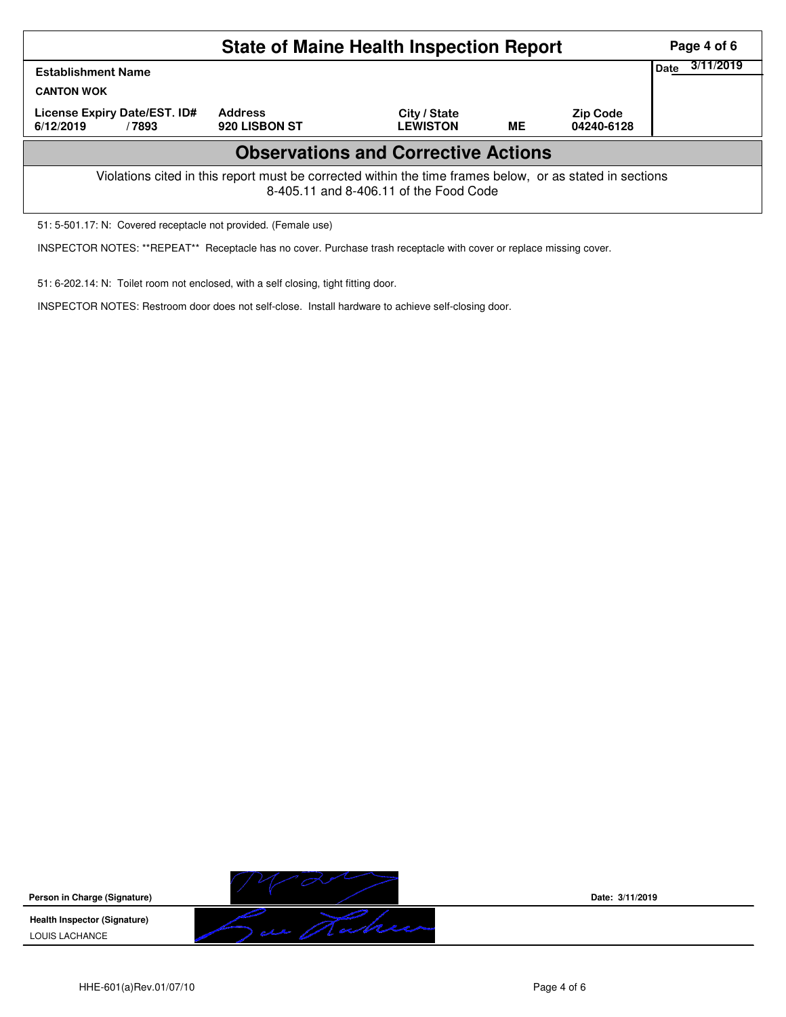|                                                                                                                                                    | Page 4 of 6                     |                                 |    |                               |                   |  |  |  |  |
|----------------------------------------------------------------------------------------------------------------------------------------------------|---------------------------------|---------------------------------|----|-------------------------------|-------------------|--|--|--|--|
| <b>Establishment Name</b><br><b>CANTON WOK</b>                                                                                                     |                                 |                                 |    |                               | 3/11/2019<br>Date |  |  |  |  |
| License Expiry Date/EST. ID#<br>6/12/2019<br>/7893                                                                                                 | <b>Address</b><br>920 LISBON ST | City / State<br><b>LEWISTON</b> | ME | <b>Zip Code</b><br>04240-6128 |                   |  |  |  |  |
| <b>Observations and Corrective Actions</b>                                                                                                         |                                 |                                 |    |                               |                   |  |  |  |  |
| Violations cited in this report must be corrected within the time frames below, or as stated in sections<br>8-405.11 and 8-406.11 of the Food Code |                                 |                                 |    |                               |                   |  |  |  |  |

51: 5-501.17: N: Covered receptacle not provided. (Female use)

INSPECTOR NOTES: \*\*REPEAT\*\* Receptacle has no cover. Purchase trash receptacle with cover or replace missing cover.

51: 6-202.14: N: Toilet room not enclosed, with a self closing, tight fitting door.

INSPECTOR NOTES: Restroom door does not self-close. Install hardware to achieve self-closing door.



**Date: 3/11/2019**

HHE-601(a)Rev.01/07/10 **Page 4 of 6** Page 4 of 6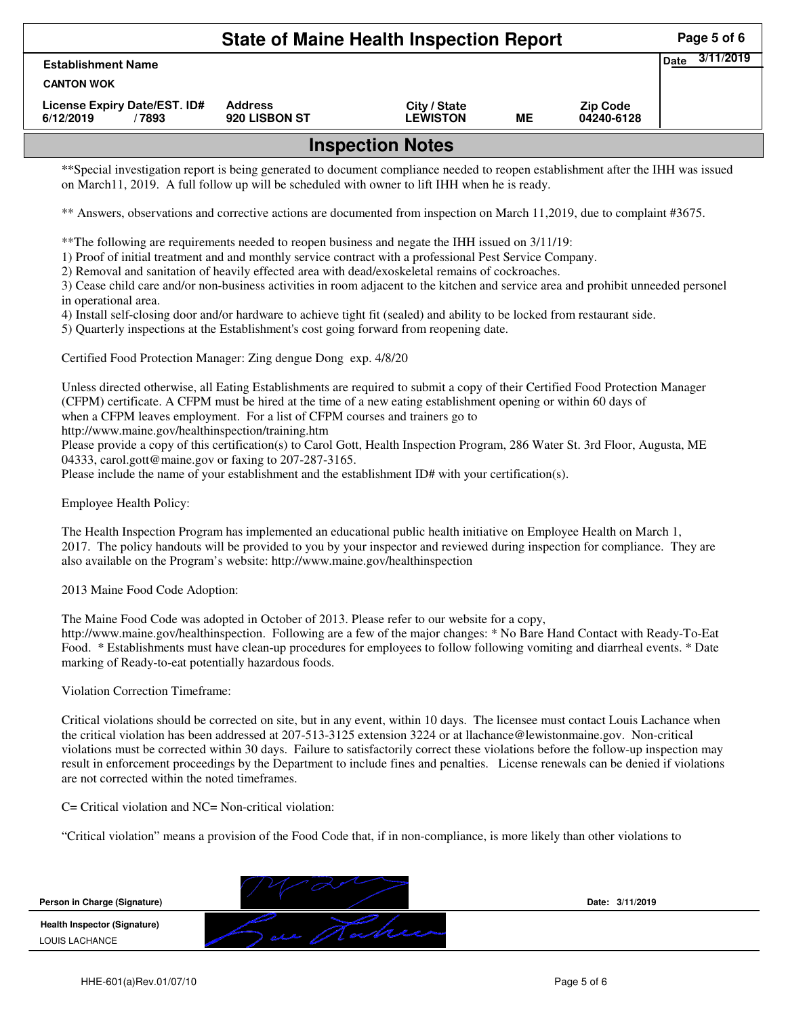| <b>State of Maine Health Inspection Report</b>     |                                 |                                 |    |                               |             |           |  |  |
|----------------------------------------------------|---------------------------------|---------------------------------|----|-------------------------------|-------------|-----------|--|--|
| <b>Establishment Name</b>                          |                                 |                                 |    |                               | <b>Date</b> | 3/11/2019 |  |  |
| <b>CANTON WOK</b>                                  |                                 |                                 |    |                               |             |           |  |  |
| License Expiry Date/EST. ID#<br>6/12/2019<br>/7893 | <b>Address</b><br>920 LISBON ST | City / State<br><b>LEWISTON</b> | ME | <b>Zip Code</b><br>04240-6128 |             |           |  |  |
| laanaatian Nataa                                   |                                 |                                 |    |                               |             |           |  |  |

## **Inspection Notes**

\*\*Special investigation report is being generated to document compliance needed to reopen establishment after the IHH was issued on March11, 2019. A full follow up will be scheduled with owner to lift IHH when he is ready.

\*\* Answers, observations and corrective actions are documented from inspection on March 11,2019, due to complaint #3675.

\*\*The following are requirements needed to reopen business and negate the IHH issued on 3/11/19:

1) Proof of initial treatment and and monthly service contract with a professional Pest Service Company.

2) Removal and sanitation of heavily effected area with dead/exoskeletal remains of cockroaches.

3) Cease child care and/or non-business activities in room adjacent to the kitchen and service area and prohibit unneeded personel in operational area.

4) Install self-closing door and/or hardware to achieve tight fit (sealed) and ability to be locked from restaurant side.

5) Quarterly inspections at the Establishment's cost going forward from reopening date.

Certified Food Protection Manager: Zing dengue Dong exp. 4/8/20

Unless directed otherwise, all Eating Establishments are required to submit a copy of their Certified Food Protection Manager (CFPM) certificate. A CFPM must be hired at the time of a new eating establishment opening or within 60 days of when a CFPM leaves employment. For a list of CFPM courses and trainers go to

http://www.maine.gov/healthinspection/training.htm

Please provide a copy of this certification(s) to Carol Gott, Health Inspection Program, 286 Water St. 3rd Floor, Augusta, ME 04333, carol.gott@maine.gov or faxing to 207-287-3165.

Please include the name of your establishment and the establishment ID# with your certification(s).

Employee Health Policy:

The Health Inspection Program has implemented an educational public health initiative on Employee Health on March 1, 2017. The policy handouts will be provided to you by your inspector and reviewed during inspection for compliance. They are also available on the Program's website: http://www.maine.gov/healthinspection

2013 Maine Food Code Adoption:

The Maine Food Code was adopted in October of 2013. Please refer to our website for a copy,

http://www.maine.gov/healthinspection. Following are a few of the major changes: \* No Bare Hand Contact with Ready-To-Eat Food. \* Establishments must have clean-up procedures for employees to follow following vomiting and diarrheal events. \* Date marking of Ready-to-eat potentially hazardous foods.

Violation Correction Timeframe:

Critical violations should be corrected on site, but in any event, within 10 days. The licensee must contact Louis Lachance when the critical violation has been addressed at 207-513-3125 extension 3224 or at llachance@lewistonmaine.gov. Non-critical violations must be corrected within 30 days. Failure to satisfactorily correct these violations before the follow-up inspection may result in enforcement proceedings by the Department to include fines and penalties. License renewals can be denied if violations are not corrected within the noted timeframes.

C= Critical violation and NC= Non-critical violation:

"Critical violation" means a provision of the Food Code that, if in non-compliance, is more likely than other violations to

**Person in Charge (Signature) Health Inspector (Signature) Date: 3/11/2019** LOUIS LACHANCE